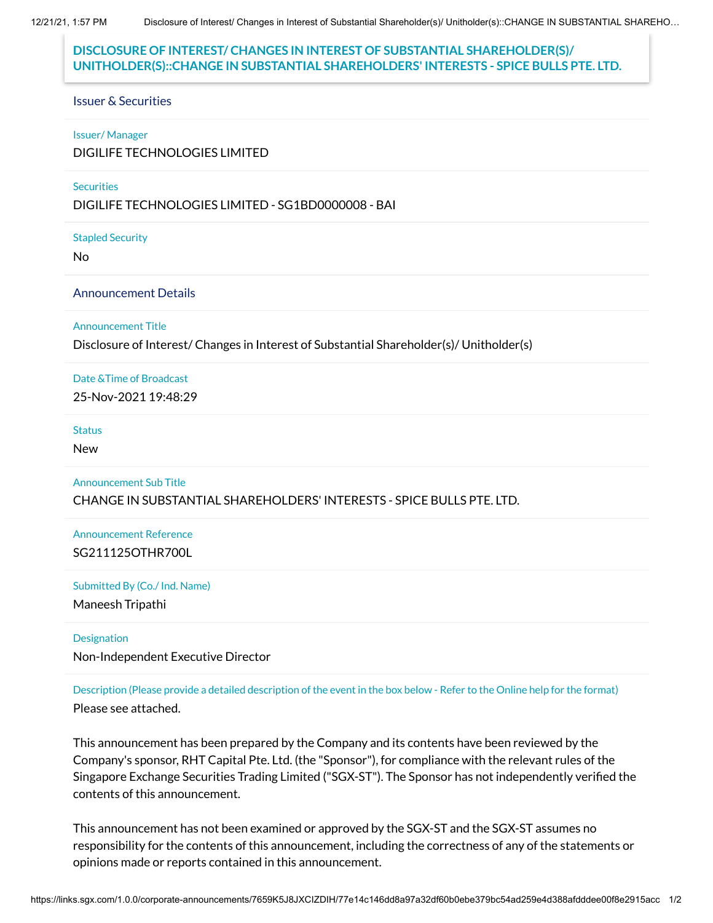12/21/21, 1:57 PM Disclosure of Interest/ Changes in Interest of Substantial Shareholder(s)/ Unitholder(s)::CHANGE IN SUBSTANTIAL SHAREHO…

# **DISCLOSURE OF INTEREST/ CHANGES IN INTEREST OF SUBSTANTIAL SHAREHOLDER(S)/ UNITHOLDER(S)::CHANGE IN SUBSTANTIAL SHAREHOLDERS' INTERESTS - SPICE BULLS PTE. LTD.**

#### Issuer & Securities

#### Issuer/ Manager

DIGILIFE TECHNOLOGIES LIMITED

### **Securities**

DIGILIFE TECHNOLOGIES LIMITED - SG1BD0000008 - BAI

Stapled Security

No

#### Announcement Details

### Announcement Title

Disclosure of Interest/ Changes in Interest of Substantial Shareholder(s)/ Unitholder(s)

Date &Time of Broadcast

25-Nov-2021 19:48:29

#### **Status**

New

### Announcement Sub Title CHANGE IN SUBSTANTIAL SHAREHOLDERS' INTERESTS - SPICE BULLS PTE. LTD.

Announcement Reference SG211125OTHR700L

Submitted By (Co./ Ind. Name)

Maneesh Tripathi

#### Designation

Non-Independent Executive Director

Description (Please provide a detailed description of the event in the box below - Refer to the Online help for the format) Please see attached.

This announcement has been prepared by the Company and its contents have been reviewed by the Company's sponsor, RHT Capital Pte. Ltd. (the "Sponsor"), for compliance with the relevant rules of the Singapore Exchange Securities Trading Limited ("SGX-ST"). The Sponsor has not independently verified the contents of this announcement.

This announcement has not been examined or approved by the SGX-ST and the SGX-ST assumes no responsibility for the contents of this announcement, including the correctness of any of the statements or opinions made or reports contained in this announcement.